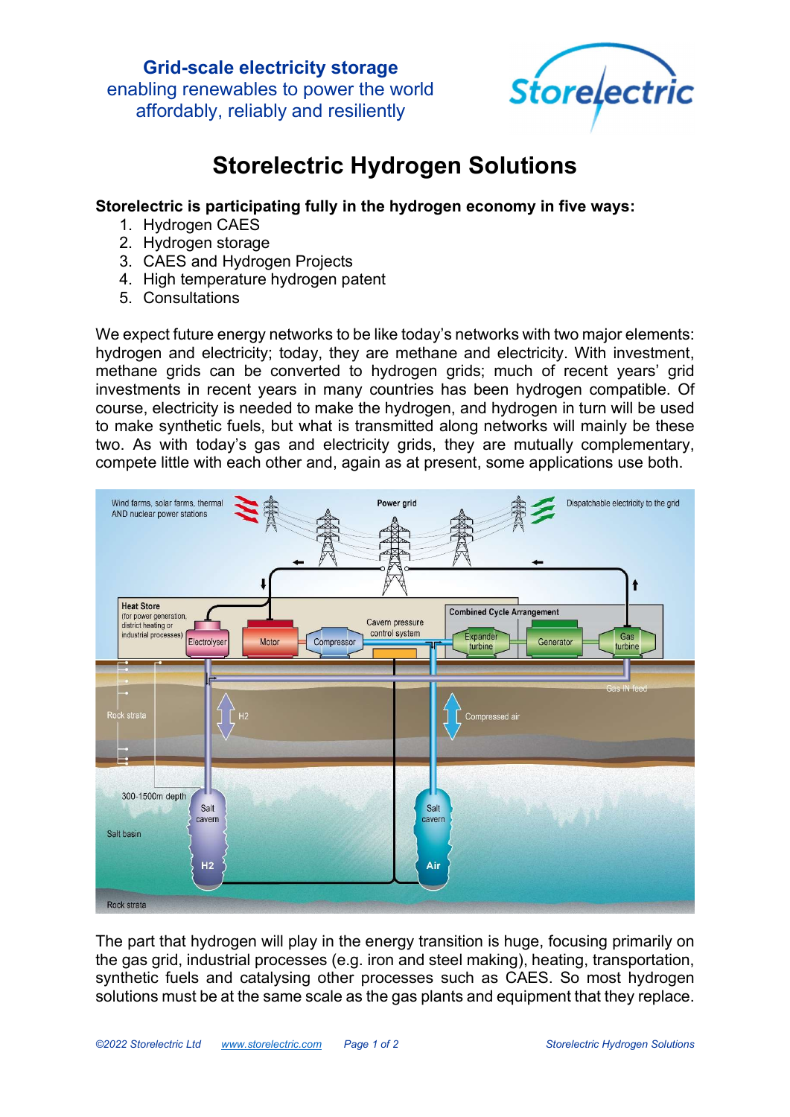

# Storelectric Hydrogen Solutions

#### Storelectric is participating fully in the hydrogen economy in five ways:

- 1. Hydrogen CAES
- 2. Hydrogen storage
- 3. CAES and Hydrogen Projects
- 4. High temperature hydrogen patent
- 5. Consultations

We expect future energy networks to be like today's networks with two major elements: hydrogen and electricity; today, they are methane and electricity. With investment, methane grids can be converted to hydrogen grids; much of recent years' grid investments in recent years in many countries has been hydrogen compatible. Of course, electricity is needed to make the hydrogen, and hydrogen in turn will be used to make synthetic fuels, but what is transmitted along networks will mainly be these two. As with today's gas and electricity grids, they are mutually complementary, compete little with each other and, again as at present, some applications use both.



The part that hydrogen will play in the energy transition is huge, focusing primarily on the gas grid, industrial processes (e.g. iron and steel making), heating, transportation, synthetic fuels and catalysing other processes such as CAES. So most hydrogen solutions must be at the same scale as the gas plants and equipment that they replace.